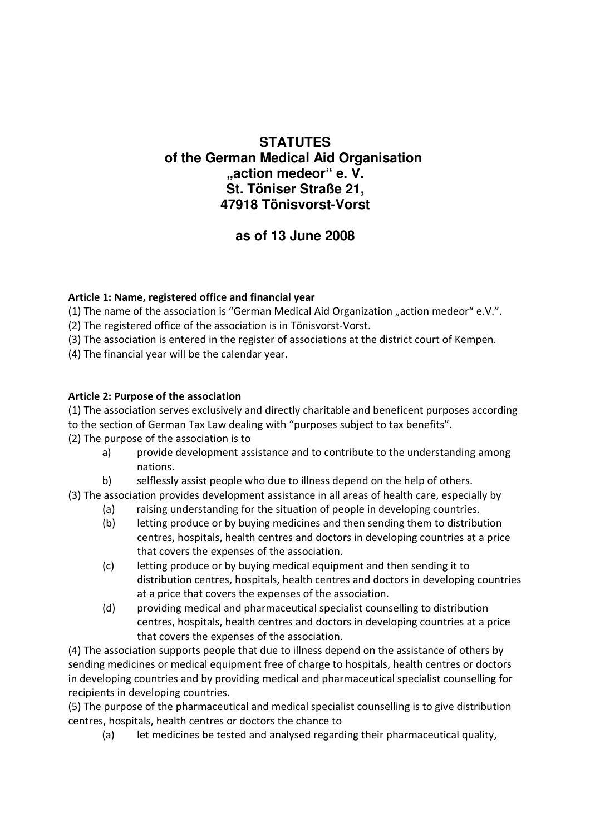## **STATUTES of the German Medical Aid Organisation "action medeor" e. V. St. Töniser Straße 21, 47918 Tönisvorst-Vorst**

# **as of 13 June 2008**

## **Article 1: Name, registered office and financial year**

(1) The name of the association is "German Medical Aid Organization "action medeor" e.V.".

(2) The registered office of the association is in Tönisvorst-Vorst.

(3) The association is entered in the register of associations at the district court of Kempen.

(4) The financial year will be the calendar year.

## **Article 2: Purpose of the association**

(1) The association serves exclusively and directly charitable and beneficent purposes according to the section of German Tax Law dealing with "purposes subject to tax benefits".

(2) The purpose of the association is to

- a) provide development assistance and to contribute to the understanding among nations.
- b) selflessly assist people who due to illness depend on the help of others.
- (3) The association provides development assistance in all areas of health care, especially by
	- (a) raising understanding for the situation of people in developing countries.
	- (b) letting produce or by buying medicines and then sending them to distribution centres, hospitals, health centres and doctors in developing countries at a price that covers the expenses of the association.
	- (c) letting produce or by buying medical equipment and then sending it to distribution centres, hospitals, health centres and doctors in developing countries at a price that covers the expenses of the association.
	- (d) providing medical and pharmaceutical specialist counselling to distribution centres, hospitals, health centres and doctors in developing countries at a price that covers the expenses of the association.

(4) The association supports people that due to illness depend on the assistance of others by sending medicines or medical equipment free of charge to hospitals, health centres or doctors in developing countries and by providing medical and pharmaceutical specialist counselling for recipients in developing countries.

(5) The purpose of the pharmaceutical and medical specialist counselling is to give distribution centres, hospitals, health centres or doctors the chance to

(a) let medicines be tested and analysed regarding their pharmaceutical quality,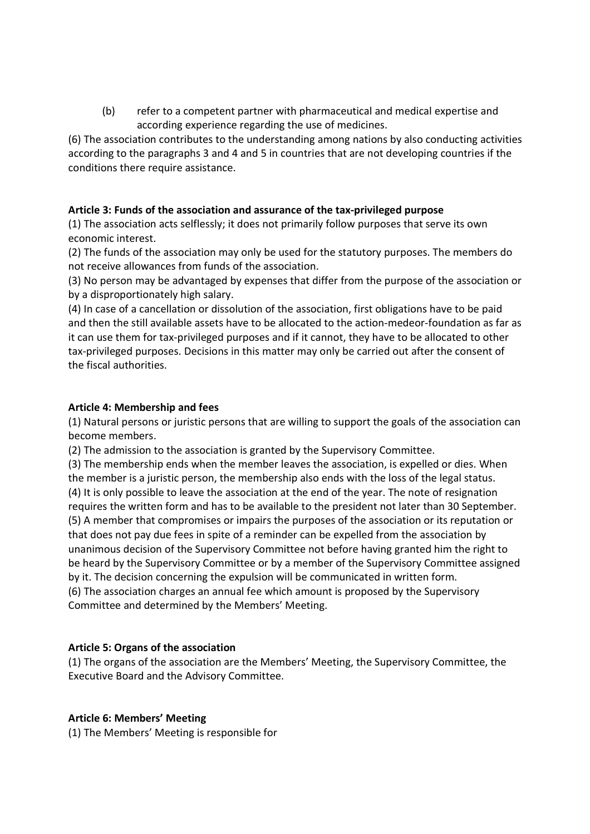(b) refer to a competent partner with pharmaceutical and medical expertise and according experience regarding the use of medicines.

(6) The association contributes to the understanding among nations by also conducting activities according to the paragraphs 3 and 4 and 5 in countries that are not developing countries if the conditions there require assistance.

#### **Article 3: Funds of the association and assurance of the tax-privileged purpose**

(1) The association acts selflessly; it does not primarily follow purposes that serve its own economic interest.

(2) The funds of the association may only be used for the statutory purposes. The members do not receive allowances from funds of the association.

(3) No person may be advantaged by expenses that differ from the purpose of the association or by a disproportionately high salary.

(4) In case of a cancellation or dissolution of the association, first obligations have to be paid and then the still available assets have to be allocated to the action-medeor-foundation as far as it can use them for tax-privileged purposes and if it cannot, they have to be allocated to other tax-privileged purposes. Decisions in this matter may only be carried out after the consent of the fiscal authorities.

#### **Article 4: Membership and fees**

(1) Natural persons or juristic persons that are willing to support the goals of the association can become members.

(2) The admission to the association is granted by the Supervisory Committee.

(3) The membership ends when the member leaves the association, is expelled or dies. When the member is a juristic person, the membership also ends with the loss of the legal status. (4) It is only possible to leave the association at the end of the year. The note of resignation requires the written form and has to be available to the president not later than 30 September. (5) A member that compromises or impairs the purposes of the association or its reputation or that does not pay due fees in spite of a reminder can be expelled from the association by unanimous decision of the Supervisory Committee not before having granted him the right to be heard by the Supervisory Committee or by a member of the Supervisory Committee assigned by it. The decision concerning the expulsion will be communicated in written form. (6) The association charges an annual fee which amount is proposed by the Supervisory Committee and determined by the Members' Meeting.

#### **Article 5: Organs of the association**

(1) The organs of the association are the Members' Meeting, the Supervisory Committee, the Executive Board and the Advisory Committee.

#### **Article 6: Members' Meeting**

(1) The Members' Meeting is responsible for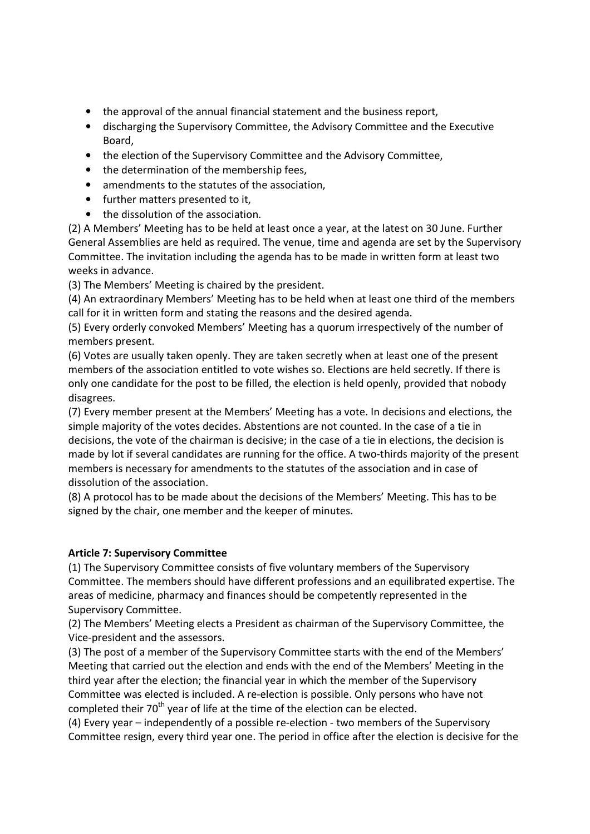- the approval of the annual financial statement and the business report,
- discharging the Supervisory Committee, the Advisory Committee and the Executive Board,
- the election of the Supervisory Committee and the Advisory Committee,
- the determination of the membership fees,
- amendments to the statutes of the association,
- further matters presented to it,
- the dissolution of the association.

(2) A Members' Meeting has to be held at least once a year, at the latest on 30 June. Further General Assemblies are held as required. The venue, time and agenda are set by the Supervisory Committee. The invitation including the agenda has to be made in written form at least two weeks in advance.

(3) The Members' Meeting is chaired by the president.

(4) An extraordinary Members' Meeting has to be held when at least one third of the members call for it in written form and stating the reasons and the desired agenda.

(5) Every orderly convoked Members' Meeting has a quorum irrespectively of the number of members present.

(6) Votes are usually taken openly. They are taken secretly when at least one of the present members of the association entitled to vote wishes so. Elections are held secretly. If there is only one candidate for the post to be filled, the election is held openly, provided that nobody disagrees.

(7) Every member present at the Members' Meeting has a vote. In decisions and elections, the simple majority of the votes decides. Abstentions are not counted. In the case of a tie in decisions, the vote of the chairman is decisive; in the case of a tie in elections, the decision is made by lot if several candidates are running for the office. A two-thirds majority of the present members is necessary for amendments to the statutes of the association and in case of dissolution of the association.

(8) A protocol has to be made about the decisions of the Members' Meeting. This has to be signed by the chair, one member and the keeper of minutes.

#### **Article 7: Supervisory Committee**

(1) The Supervisory Committee consists of five voluntary members of the Supervisory Committee. The members should have different professions and an equilibrated expertise. The areas of medicine, pharmacy and finances should be competently represented in the Supervisory Committee.

(2) The Members' Meeting elects a President as chairman of the Supervisory Committee, the Vice-president and the assessors.

(3) The post of a member of the Supervisory Committee starts with the end of the Members' Meeting that carried out the election and ends with the end of the Members' Meeting in the third year after the election; the financial year in which the member of the Supervisory Committee was elected is included. A re-election is possible. Only persons who have not completed their  $70<sup>th</sup>$  year of life at the time of the election can be elected.

(4) Every year – independently of a possible re-election - two members of the Supervisory Committee resign, every third year one. The period in office after the election is decisive for the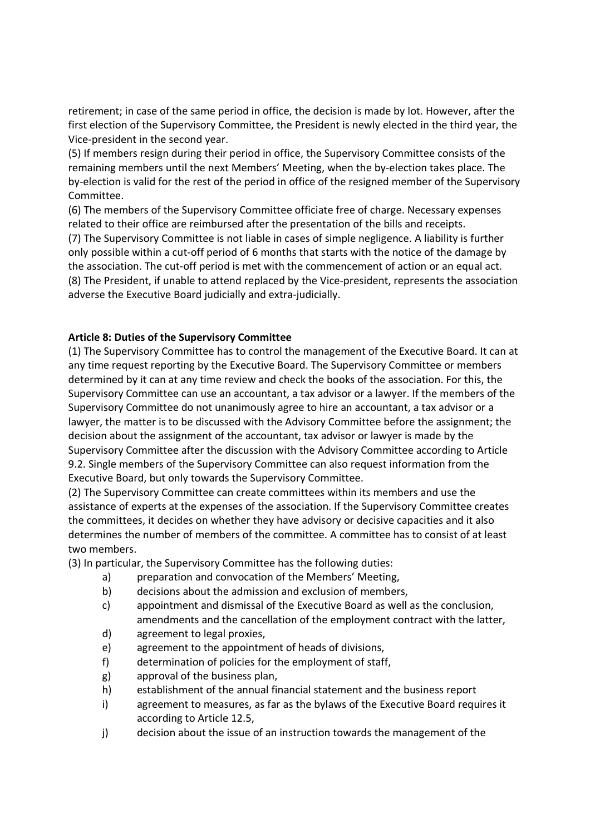retirement; in case of the same period in office, the decision is made by lot. However, after the first election of the Supervisory Committee, the President is newly elected in the third year, the Vice-president in the second year.

(5) If members resign during their period in office, the Supervisory Committee consists of the remaining members until the next Members' Meeting, when the by-election takes place. The by-election is valid for the rest of the period in office of the resigned member of the Supervisory Committee.

(6) The members of the Supervisory Committee officiate free of charge. Necessary expenses related to their office are reimbursed after the presentation of the bills and receipts. (7) The Supervisory Committee is not liable in cases of simple negligence. A liability is further

only possible within a cut-off period of 6 months that starts with the notice of the damage by the association. The cut-off period is met with the commencement of action or an equal act. (8) The President, if unable to attend replaced by the Vice-president, represents the association adverse the Executive Board judicially and extra-judicially.

#### **Article 8: Duties of the Supervisory Committee**

(1) The Supervisory Committee has to control the management of the Executive Board. It can at any time request reporting by the Executive Board. The Supervisory Committee or members determined by it can at any time review and check the books of the association. For this, the Supervisory Committee can use an accountant, a tax advisor or a lawyer. If the members of the Supervisory Committee do not unanimously agree to hire an accountant, a tax advisor or a lawyer, the matter is to be discussed with the Advisory Committee before the assignment; the decision about the assignment of the accountant, tax advisor or lawyer is made by the Supervisory Committee after the discussion with the Advisory Committee according to Article 9.2. Single members of the Supervisory Committee can also request information from the Executive Board, but only towards the Supervisory Committee.

(2) The Supervisory Committee can create committees within its members and use the assistance of experts at the expenses of the association. If the Supervisory Committee creates the committees, it decides on whether they have advisory or decisive capacities and it also determines the number of members of the committee. A committee has to consist of at least two members.

(3) In particular, the Supervisory Committee has the following duties:

- a) preparation and convocation of the Members' Meeting,
- b) decisions about the admission and exclusion of members,
- c) appointment and dismissal of the Executive Board as well as the conclusion, amendments and the cancellation of the employment contract with the latter,
- d) agreement to legal proxies,
- e) agreement to the appointment of heads of divisions,
- f) determination of policies for the employment of staff,
- g) approval of the business plan,
- h) establishment of the annual financial statement and the business report
- i) agreement to measures, as far as the bylaws of the Executive Board requires it according to Article 12.5,
- j) decision about the issue of an instruction towards the management of the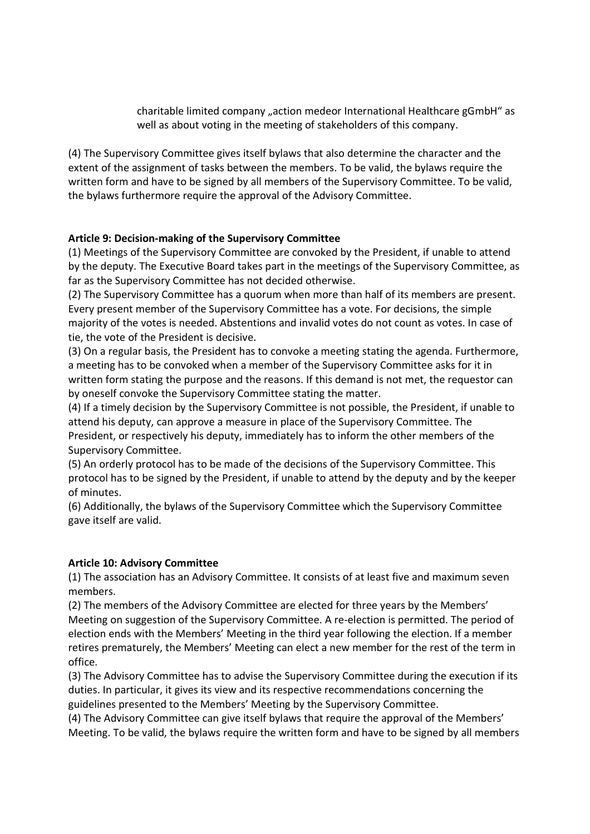charitable limited company "action medeor International Healthcare gGmbH" as well as about voting in the meeting of stakeholders of this company.

(4) The Supervisory Committee gives itself bylaws that also determine the character and the extent of the assignment of tasks between the members. To be valid, the bylaws require the written form and have to be signed by all members of the Supervisory Committee. To be valid, the bylaws furthermore require the approval of the Advisory Committee.

#### **Article 9: Decision-making of the Supervisory Committee**

(1) Meetings of the Supervisory Committee are convoked by the President, if unable to attend by the deputy. The Executive Board takes part in the meetings of the Supervisory Committee, as far as the Supervisory Committee has not decided otherwise.

(2) The Supervisory Committee has a quorum when more than half of its members are present. Every present member of the Supervisory Committee has a vote. For decisions, the simple majority of the votes is needed. Abstentions and invalid votes do not count as votes. In case of tie, the vote of the President is decisive.

(3) On a regular basis, the President has to convoke a meeting stating the agenda. Furthermore, a meeting has to be convoked when a member of the Supervisory Committee asks for it in written form stating the purpose and the reasons. If this demand is not met, the requestor can by oneself convoke the Supervisory Committee stating the matter.

(4) If a timely decision by the Supervisory Committee is not possible, the President, if unable to attend his deputy, can approve a measure in place of the Supervisory Committee. The President, or respectively his deputy, immediately has to inform the other members of the Supervisory Committee.

(5) An orderly protocol has to be made of the decisions of the Supervisory Committee. This protocol has to be signed by the President, if unable to attend by the deputy and by the keeper of minutes.

(6) Additionally, the bylaws of the Supervisory Committee which the Supervisory Committee gave itself are valid.

#### **Article 10: Advisory Committee**

(1) The association has an Advisory Committee. It consists of at least five and maximum seven members.

(2) The members of the Advisory Committee are elected for three years by the Members' Meeting on suggestion of the Supervisory Committee. A re-election is permitted. The period of election ends with the Members' Meeting in the third year following the election. If a member retires prematurely, the Members' Meeting can elect a new member for the rest of the term in office.

(3) The Advisory Committee has to advise the Supervisory Committee during the execution if its duties. In particular, it gives its view and its respective recommendations concerning the guidelines presented to the Members' Meeting by the Supervisory Committee.

(4) The Advisory Committee can give itself bylaws that require the approval of the Members' Meeting. To be valid, the bylaws require the written form and have to be signed by all members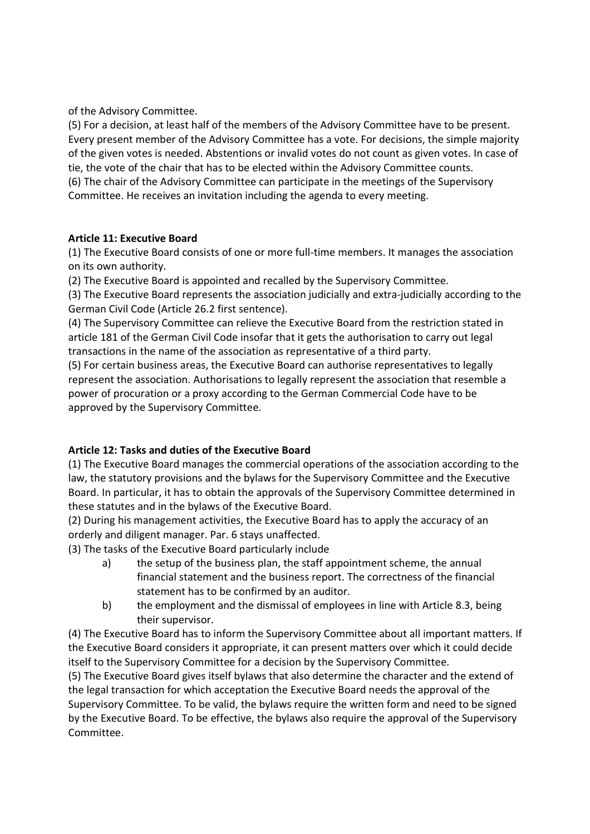of the Advisory Committee.

(5) For a decision, at least half of the members of the Advisory Committee have to be present. Every present member of the Advisory Committee has a vote. For decisions, the simple majority of the given votes is needed. Abstentions or invalid votes do not count as given votes. In case of tie, the vote of the chair that has to be elected within the Advisory Committee counts.

(6) The chair of the Advisory Committee can participate in the meetings of the Supervisory Committee. He receives an invitation including the agenda to every meeting.

#### **Article 11: Executive Board**

(1) The Executive Board consists of one or more full-time members. It manages the association on its own authority.

(2) The Executive Board is appointed and recalled by the Supervisory Committee.

(3) The Executive Board represents the association judicially and extra-judicially according to the German Civil Code (Article 26.2 first sentence).

(4) The Supervisory Committee can relieve the Executive Board from the restriction stated in article 181 of the German Civil Code insofar that it gets the authorisation to carry out legal transactions in the name of the association as representative of a third party.

(5) For certain business areas, the Executive Board can authorise representatives to legally represent the association. Authorisations to legally represent the association that resemble a power of procuration or a proxy according to the German Commercial Code have to be approved by the Supervisory Committee.

#### **Article 12: Tasks and duties of the Executive Board**

(1) The Executive Board manages the commercial operations of the association according to the law, the statutory provisions and the bylaws for the Supervisory Committee and the Executive Board. In particular, it has to obtain the approvals of the Supervisory Committee determined in these statutes and in the bylaws of the Executive Board.

(2) During his management activities, the Executive Board has to apply the accuracy of an orderly and diligent manager. Par. 6 stays unaffected.

(3) The tasks of the Executive Board particularly include

- a) the setup of the business plan, the staff appointment scheme, the annual financial statement and the business report. The correctness of the financial statement has to be confirmed by an auditor.
- b) the employment and the dismissal of employees in line with Article 8.3, being their supervisor.

(4) The Executive Board has to inform the Supervisory Committee about all important matters. If the Executive Board considers it appropriate, it can present matters over which it could decide itself to the Supervisory Committee for a decision by the Supervisory Committee.

(5) The Executive Board gives itself bylaws that also determine the character and the extend of the legal transaction for which acceptation the Executive Board needs the approval of the Supervisory Committee. To be valid, the bylaws require the written form and need to be signed by the Executive Board. To be effective, the bylaws also require the approval of the Supervisory Committee.